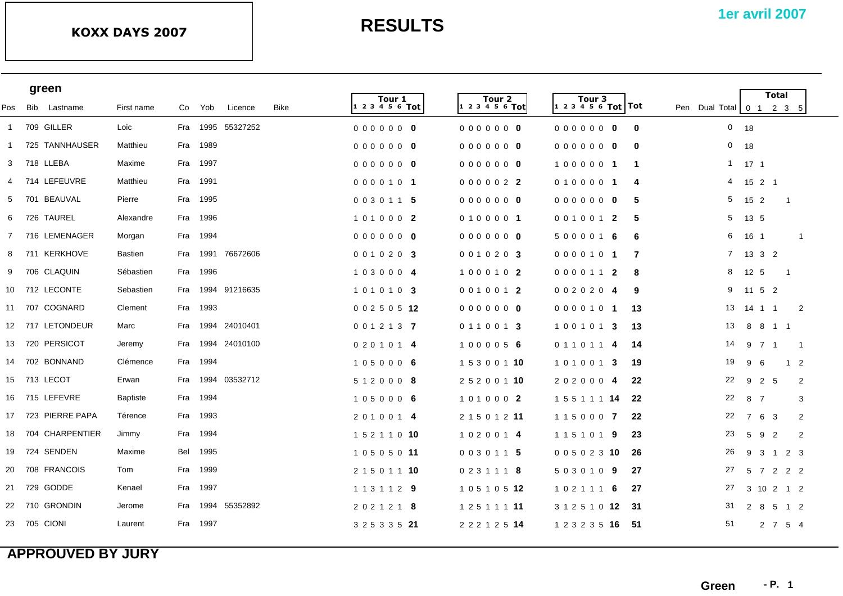|              | green           |                    |                 |     |          |                   |      |  |                           |                           |                                             | <b>Total</b> |                                                                  |                                   |                |                          |                |
|--------------|-----------------|--------------------|-----------------|-----|----------|-------------------|------|--|---------------------------|---------------------------|---------------------------------------------|--------------|------------------------------------------------------------------|-----------------------------------|----------------|--------------------------|----------------|
| Pos          | Bib Lastname    |                    | First name      |     | Co Yob   | Licence           | Bike |  | Tour 1<br>1 2 3 4 5 6 Tot | Tour 2<br>1 2 3 4 5 6 Tot | Tour <sub>3</sub><br> 1 2 3 4 5 6 Tot   Tot |              | Pen Dual Total $\begin{bmatrix} 0 & 1 & 2 & 3 & 5 \end{bmatrix}$ |                                   |                |                          |                |
| $\mathbf{1}$ | 709 GILLER      |                    | Loic            |     |          | Fra 1995 55327252 |      |  | 00000000                  | 00000000                  | 0000000                                     | $\mathbf{0}$ | $0$ 18                                                           |                                   |                |                          |                |
| -1           |                 | 725 TANNHAUSER     | Matthieu        | Fra | 1989     |                   |      |  | 00000000                  | 00000000                  | 0000000                                     | $\bf{0}$     | 0                                                                | 18                                |                |                          |                |
| 3            | 718 LLEBA       |                    | Maxime          | Fra | 1997     |                   |      |  | 00000000                  | 00000000                  | 1000001                                     | $\mathbf 1$  | $\mathbf{1}$                                                     | $171$                             |                |                          |                |
| 4            | 714 LEFEUVRE    |                    | Matthieu        | Fra | 1991     |                   |      |  | 0000101                   | 0000022                   | 0100001                                     | 4            | 4                                                                | $15$ 2 1                          |                |                          |                |
| -5           | 701 BEAUVAL     |                    | Pierre          |     | Fra 1995 |                   |      |  | 0030115                   | 0000000                   | 0000000                                     | 5            | 5                                                                | 15 2                              |                | $\overline{1}$           |                |
| 6            | 726 TAUREL      |                    | Alexandre       |     | Fra 1996 |                   |      |  | 101000 2                  | 0100001                   | 0010012                                     | 5            | 5                                                                | 13 5                              |                |                          |                |
|              |                 | 7 716 LEMENAGER    | Morgan          |     | Fra 1994 |                   |      |  | 0000000                   | 0000000                   | 5000016                                     | -6           | 6                                                                | 16 1                              |                |                          | $\overline{1}$ |
|              | 8 711 KERKHOVE  |                    | <b>Bastien</b>  | Fra |          | 1991 76672606     |      |  | 0010203                   | 0010203                   | 0000101                                     | 7            | $7^{\circ}$                                                      | 1332                              |                |                          |                |
| 9            | 706 CLAQUIN     |                    | Sébastien       |     | Fra 1996 |                   |      |  | 1030004                   | 1000102                   | 0000112                                     | -8           | 8                                                                | 12 5                              |                | $\overline{\phantom{0}}$ |                |
|              | 10 712 LECONTE  |                    | Sebastien       | Fra |          | 1994 91216635     |      |  | 101010 3                  | 0010012                   | 0020204                                     | 9            | 9                                                                | 11 5 2                            |                |                          |                |
|              | 11 707 COGNARD  |                    | Clement         |     | Fra 1993 |                   |      |  | 0 0 2 5 0 5 12            | 00000000                  | 0000101                                     | -13          | 13                                                               | 14  1  1                          |                | $\overline{2}$           |                |
|              |                 | 12 717 LETONDEUR   | Marc            | Fra |          | 1994 24010401     |      |  | 0 0 1 2 1 3 7             | 0110013                   | 1001013                                     | 13           | 13                                                               |                                   | 8 8 1 1        |                          |                |
|              | 13 720 PERSICOT |                    | Jeremy          | Fra |          | 1994 24010100     |      |  | 0 2 0 1 0 1 4             | 1000056                   | 0110114                                     | 14           | 14                                                               | 9 7 1                             |                | $\overline{1}$           |                |
|              | 14 702 BONNAND  |                    | Clémence        | Fra | 1994     |                   |      |  | 1050006                   | 1 5 3 0 0 1 10            | 1010013                                     | 19           | 19                                                               | 9<br>6                            |                | $1\quad 2$               |                |
|              | 15 713 LECOT    |                    | Erwan           | Fra |          | 1994 03532712     |      |  | 512000 8                  | 2 5 2 0 0 1 10            | 2020004                                     | 22           | 22                                                               | 9 2 5                             |                |                          | 2              |
|              | 16 715 LEFEVRE  |                    | <b>Baptiste</b> |     | Fra 1994 |                   |      |  | 1050006                   | 1010002                   | 1 5 5 1 1 1 14                              | 22           | 22                                                               | 8 7                               |                |                          | 3              |
|              |                 | 17 723 PIERRE PAPA | Térence         |     | Fra 1993 |                   |      |  | 2010014                   | 2 1 5 0 1 2 11            | 1150007                                     | 22           | 22                                                               | $\overline{7}$<br>6               | - 3            |                          | $\overline{2}$ |
| 18           |                 | 704 CHARPENTIER    | Jimmy           | Fra | 1994     |                   |      |  | 1 5 2 1 1 0 10            | 1020014                   | 1151019                                     | 23           | 23                                                               | 5<br>9                            | $\overline{2}$ |                          | 2              |
| 19           | 724 SENDEN      |                    | Maxime          | Bel | 1995     |                   |      |  | 10505011                  | 0030115                   | 0 0 5 0 2 3 10                              | -26          | 26                                                               | 9 3 1                             |                | 2 3                      |                |
| 20           | 708 FRANCOIS    |                    | Tom             | Fra | 1999     |                   |      |  | 2 1 5 0 1 1 10            | 0 2 3 1 1 1 8             | 5030109                                     | 27           | 27                                                               | $5\overline{)}$<br>$\overline{7}$ | 2              | 2 2                      |                |
|              | 21 729 GODDE    |                    | Kenael          | Fra | 1997     |                   |      |  | 1 1 3 1 1 2 9             | 1 0 5 1 0 5 12            | 1021116                                     | -27          | 27                                                               |                                   | 3 10 2 1 2     |                          |                |
|              | 22 710 GRONDIN  |                    | Jerome          | Fra | 1994     | 55352892          |      |  | 2 0 2 1 2 1 8             | 1 2 5 1 1 1 11            | 3 1 2 5 1 0 12 31                           |              | 31                                                               | 2 8                               | 5              | 1 2                      |                |
|              | 23 705 CIONI    |                    | Laurent         |     | Fra 1997 |                   |      |  | 3 2 5 3 3 5 21            | 2 2 2 1 2 5 14            | 1 2 3 2 3 5 16                              | -51          | 51                                                               |                                   | 2 7 5 4        |                          |                |
|              |                 |                    |                 |     |          |                   |      |  |                           |                           |                                             |              |                                                                  |                                   |                |                          |                |

## **APPROUVED BY JURY**